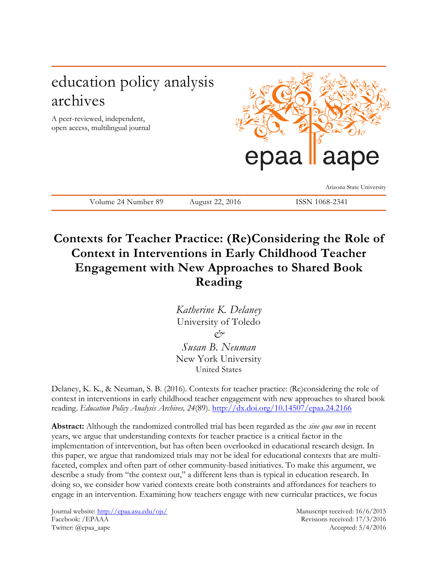# education policy analysis archives

A peer-reviewed, independent, open access, multilingual journal



Arizona State University

Volume 24 Number 89 August 22, 2016 ISSN 1068-2341

## **Contexts for Teacher Practice: (Re)Considering the Role of Context in Interventions in Early Childhood Teacher Engagement with New Approaches to Shared Book Reading**

*Katherine K. Delaney* University of Toledo  $\alpha$ <sup>2</sup> *Susan B. Neuman* New York University United States

Delaney, K. K., & Neuman, S. B. (2016). Contexts for teacher practice: (Re)considering the role of context in interventions in early childhood teacher engagement with new approaches to shared book reading. *Education Policy Analysis Archives, 24*(89).<http://dx.doi.org/10.14507/epaa.24.2166>

**Abstract:** Although the randomized controlled trial has been regarded as the *sine qua non* in recent years, we argue that understanding contexts for teacher practice is a critical factor in the implementation of intervention, but has often been overlooked in educational research design. In this paper, we argue that randomized trials may not be ideal for educational contexts that are multifaceted, complex and often part of other community-based initiatives. To make this argument, we describe a study from "the context out," a different lens than is typical in education research. In doing so, we consider how varied contexts create both constraints and affordances for teachers to engage in an intervention. Examining how teachers engage with new curricular practices, we focus

Journal website:<http://epaa.asu.edu/ojs/> Manuscript received: 16/6/2015 Facebook: /EPAAA Revisions received: 17/3/2016 Twitter: @epaa\_aape Accepted: 5/4/2016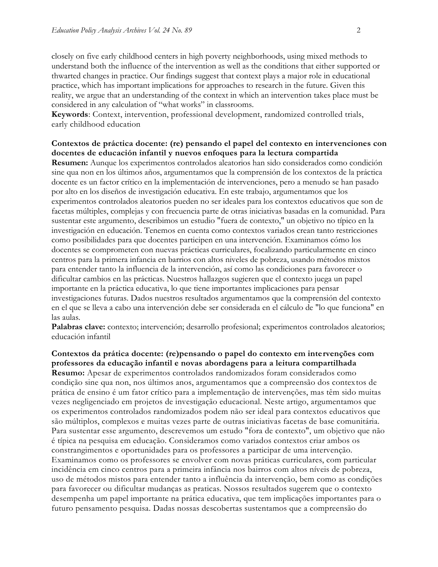closely on five early childhood centers in high poverty neighborhoods, using mixed methods to understand both the influence of the intervention as well as the conditions that either supported or thwarted changes in practice. Our findings suggest that context plays a major role in educational practice, which has important implications for approaches to research in the future. Given this reality, we argue that an understanding of the context in which an intervention takes place must be considered in any calculation of "what works" in classrooms.

**Keywords**: Context, intervention, professional development, randomized controlled trials, early childhood education

#### **Contextos de práctica docente: (re) pensando el papel del contexto en intervenciones con docentes de educación infantil y nuevos enfoques para la lectura compartida**

**Resumen:** Aunque los experimentos controlados aleatorios han sido considerados como condición sine qua non en los últimos años, argumentamos que la comprensión de los contextos de la práctica docente es un factor crítico en la implementación de intervenciones, pero a menudo se han pasado por alto en los diseños de investigación educativa. En este trabajo, argumentamos que los experimentos controlados aleatorios pueden no ser ideales para los contextos educativos que son de facetas múltiples, complejas y con frecuencia parte de otras iniciativas basadas en la comunidad. Para sustentar este argumento, describimos un estudio "fuera de contexto," un objetivo no típico en la investigación en educación. Tenemos en cuenta como contextos variados crean tanto restricciones como posibilidades para que docentes participen en una intervención. Examinamos cómo los docentes se comprometen con nuevas prácticas curriculares, focalizando particularmente en cinco centros para la primera infancia en barrios con altos niveles de pobreza, usando métodos mixtos para entender tanto la influencia de la intervención, así como las condiciones para favorecer o dificultar cambios en las prácticas. Nuestros hallazgos sugieren que el contexto juega un papel importante en la práctica educativa, lo que tiene importantes implicaciones para pensar investigaciones futuras. Dados nuestros resultados argumentamos que la comprensión del contexto en el que se lleva a cabo una intervención debe ser considerada en el cálculo de "lo que funciona" en las aulas.

**Palabras clave:** contexto; intervención; desarrollo profesional; experimentos controlados aleatorios; educación infantil

#### **Contextos da prática docente: (re)pensando o papel do contexto em intervenções com professores da educação infantil e novas abordagens para a leitura compartilhada Resumo:** Apesar de experimentos controlados randomizados foram considerados como condição sine qua non, nos últimos anos, argumentamos que a compreensão dos contextos de prática de ensino é um fator crítico para a implementação de intervenções, mas têm sido muitas vezes negligenciado em projetos de investigação educacional. Neste artigo, argumentamos que os experimentos controlados randomizados podem não ser ideal para contextos educativos que são múltiplos, complexos e muitas vezes parte de outras iniciativas facetas de base comunitária.

Para sustentar esse argumento, descrevemos um estudo "fora de contexto", um objetivo que não é típica na pesquisa em educação. Consideramos como variados contextos criar ambos os constrangimentos e oportunidades para os professores a participar de uma intervenção. Examinamos como os professores se envolver com novas práticas curriculares, com particular incidência em cinco centros para a primeira infância nos bairros com altos níveis de pobreza, uso de métodos mistos para entender tanto a influência da intervenção, bem como as condições para favorecer ou dificultar mudanças as praticas. Nossos resultados sugerem que o contexto desempenha um papel importante na prática educativa, que tem implicações importantes para o futuro pensamento pesquisa. Dadas nossas descobertas sustentamos que a compreensão do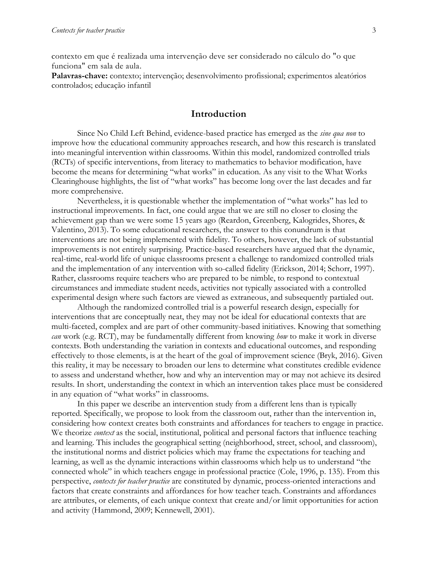contexto em que é realizada uma intervenção deve ser considerado no cálculo do "o que funciona" em sala de aula.

**Palavras-chave:** contexto; intervenção; desenvolvimento profissional; experimentos aleatórios controlados; educação infantil

#### **Introduction**

Since No Child Left Behind, evidence-based practice has emerged as the *sine qua non* to improve how the educational community approaches research, and how this research is translated into meaningful intervention within classrooms. Within this model, randomized controlled trials (RCTs) of specific interventions, from literacy to mathematics to behavior modification, have become the means for determining "what works" in education. As any visit to the What Works Clearinghouse highlights, the list of "what works" has become long over the last decades and far more comprehensive.

Nevertheless, it is questionable whether the implementation of "what works" has led to instructional improvements. In fact, one could argue that we are still no closer to closing the achievement gap than we were some 15 years ago (Reardon, Greenberg, Kalogrides, Shores, & Valentino, 2013). To some educational researchers, the answer to this conundrum is that interventions are not being implemented with fidelity. To others, however, the lack of substantial improvements is not entirely surprising. Practice-based researchers have argued that the dynamic, real-time, real-world life of unique classrooms present a challenge to randomized controlled trials and the implementation of any intervention with so-called fidelity (Erickson, 2014; Schorr, 1997). Rather, classrooms require teachers who are prepared to be nimble, to respond to contextual circumstances and immediate student needs, activities not typically associated with a controlled experimental design where such factors are viewed as extraneous, and subsequently partialed out.

Although the randomized controlled trial is a powerful research design, especially for interventions that are conceptually neat, they may not be ideal for educational contexts that are multi-faceted, complex and are part of other community-based initiatives. Knowing that something *can* work (e.g. RCT), may be fundamentally different from knowing *how* to make it work in diverse contexts. Both understanding the variation in contexts and educational outcomes, and responding effectively to those elements, is at the heart of the goal of improvement science (Bryk, 2016). Given this reality, it may be necessary to broaden our lens to determine what constitutes credible evidence to assess and understand whether, how and why an intervention may or may not achieve its desired results. In short, understanding the context in which an intervention takes place must be considered in any equation of "what works" in classrooms.

In this paper we describe an intervention study from a different lens than is typically reported. Specifically, we propose to look from the classroom out, rather than the intervention in, considering how context creates both constraints and affordances for teachers to engage in practice. We theorize *context* as the social, institutional, political and personal factors that influence teaching and learning. This includes the geographical setting (neighborhood, street, school, and classroom), the institutional norms and district policies which may frame the expectations for teaching and learning, as well as the dynamic interactions within classrooms which help us to understand "the connected whole" in which teachers engage in professional practice (Cole, 1996, p. 135). From this perspective, *contexts for teacher practice* are constituted by dynamic, process-oriented interactions and factors that create constraints and affordances for how teacher teach. Constraints and affordances are attributes, or elements, of each unique context that create and/or limit opportunities for action and activity (Hammond, 2009; Kennewell, 2001).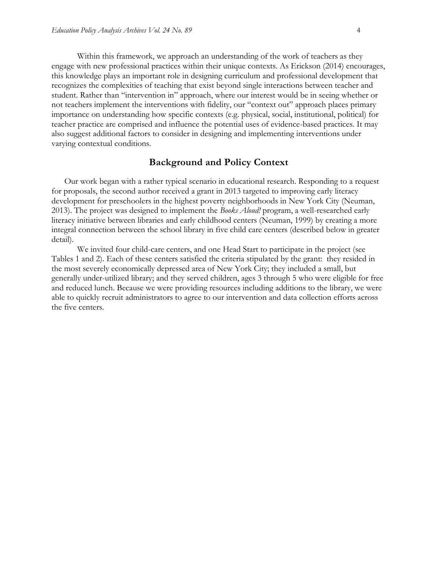Within this framework, we approach an understanding of the work of teachers as they engage with new professional practices within their unique contexts. As Erickson (2014) encourages, this knowledge plays an important role in designing curriculum and professional development that recognizes the complexities of teaching that exist beyond single interactions between teacher and student. Rather than "intervention in" approach, where our interest would be in seeing whether or not teachers implement the interventions with fidelity, our "context out" approach places primary importance on understanding how specific contexts (e.g. physical, social, institutional, political) for teacher practice are comprised and influence the potential uses of evidence-based practices. It may also suggest additional factors to consider in designing and implementing interventions under varying contextual conditions.

#### **Background and Policy Context**

Our work began with a rather typical scenario in educational research. Responding to a request for proposals, the second author received a grant in 2013 targeted to improving early literacy development for preschoolers in the highest poverty neighborhoods in New York City (Neuman, 2013). The project was designed to implement the *Books Aloud!* program, a well-researched early literacy initiative between libraries and early childhood centers (Neuman, 1999) by creating a more integral connection between the school library in five child care centers (described below in greater detail).

We invited four child-care centers, and one Head Start to participate in the project (see Tables 1 and 2). Each of these centers satisfied the criteria stipulated by the grant: they resided in the most severely economically depressed area of New York City; they included a small, but generally under-utilized library; and they served children, ages 3 through 5 who were eligible for free and reduced lunch. Because we were providing resources including additions to the library, we were able to quickly recruit administrators to agree to our intervention and data collection efforts across the five centers.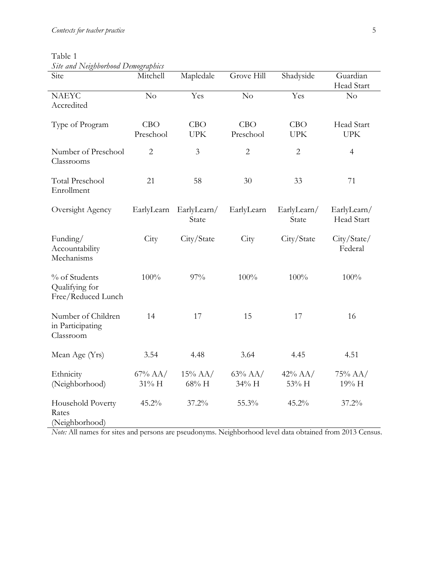| Table 1 |                               |  |
|---------|-------------------------------|--|
|         | Site and Neighborhood Demogra |  |

| Site and Neighborhood Demographics                    |                     |                        |                     |                      |                           |
|-------------------------------------------------------|---------------------|------------------------|---------------------|----------------------|---------------------------|
| Site                                                  | Mitchell            | Mapledale              | Grove Hill          | Shadyside            | Guardian<br>Head Start    |
| <b>NAEYC</b><br>Accredited                            | $\overline{N}$      | Yes                    | No                  | Yes                  | No                        |
| Type of Program                                       | CBO<br>Preschool    | CBO<br><b>UPK</b>      | CBO<br>Preschool    | CBO<br><b>UPK</b>    | Head Start<br><b>UPK</b>  |
| Number of Preschool<br>Classrooms                     | $\overline{2}$      | 3                      | $\overline{2}$      | $\overline{c}$       | $\overline{4}$            |
| <b>Total Preschool</b><br>Enrollment                  | 21                  | 58                     | 30                  | 33                   | 71                        |
| Oversight Agency                                      | EarlyLearn          | EarlyLearn/<br>State   | EarlyLearn          | EarlyLearn/<br>State | EarlyLearn/<br>Head Start |
| Funding/<br>Accountability<br>Mechanisms              | City                | City/State             | City                | City/State           | City/State/<br>Federal    |
| % of Students<br>Qualifying for<br>Free/Reduced Lunch | 100%                | 97%                    | 100%                | 100%                 | 100%                      |
| Number of Children<br>in Participating<br>Classroom   | 14                  | 17                     | 15                  | 17                   | 16                        |
| Mean Age (Yrs)                                        | 3.54                | 4.48                   | 3.64                | 4.45                 | 4.51                      |
| Ethnicity<br>(Neighborhood)                           | $67\%$ AA/<br>31% H | $15\%$ AA/<br>$68\%$ H | $63\%$ AA/<br>34% H | $42\%$ AA/<br>53% H  | $75\%$ AA/<br>19% H       |
| Household Poverty<br>Rates<br>(Neighborhood)          | 45.2%               | 37.2%                  | 55.3%               | 45.2%                | 37.2%                     |

*Note:* All names for sites and persons are pseudonyms. Neighborhood level data obtained from 2013 Census.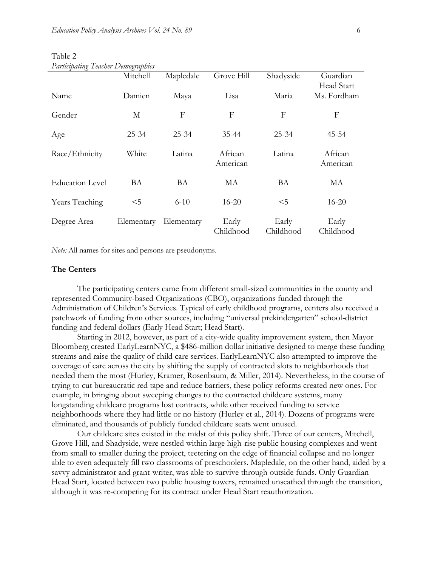|                        | Mitchell   | Mapledale  | Grove Hill          | Shadyside          | Guardian<br>Head Start |
|------------------------|------------|------------|---------------------|--------------------|------------------------|
| Name                   | Damien     | Maya       | Lisa                | Maria              | Ms. Fordham            |
| Gender                 | М          | F          | F                   | F                  | F                      |
| Age                    | $25 - 34$  | $25 - 34$  | 35-44               | $25 - 34$          | 45-54                  |
| Race/Ethnicity         | White      | Latina     | African<br>American | Latina             | African<br>American    |
| <b>Education Level</b> | BA         | BA         | МA                  | BA                 | МA                     |
| Years Teaching         | $<$ 5      | $6-10$     | $16 - 20$           | $<$ 5              | $16 - 20$              |
| Degree Area            | Elementary | Elementary | Early<br>Childhood  | Early<br>Childhood | Early<br>Childhood     |

Table 2 *Participating Teacher Demographics*

*Note:* All names for sites and persons are pseudonyms.

#### **The Centers**

The participating centers came from different small-sized communities in the county and represented Community-based Organizations (CBO), organizations funded through the Administration of Children's Services. Typical of early childhood programs, centers also received a patchwork of funding from other sources, including "universal prekindergarten" school-district funding and federal dollars (Early Head Start; Head Start).

Starting in 2012, however, as part of a city-wide quality improvement system, then Mayor Bloomberg created EarlyLearnNYC, a \$486-million dollar initiative designed to merge these funding streams and raise the quality of child care services. EarlyLearnNYC also attempted to improve the coverage of care across the city by shifting the supply of contracted slots to neighborhoods that needed them the most (Hurley, Kramer, Rosenbaum, & Miller, 2014). Nevertheless, in the course of trying to cut bureaucratic red tape and reduce barriers, these policy reforms created new ones. For example, in bringing about sweeping changes to the contracted childcare systems, many longstanding childcare programs lost contracts, while other received funding to service neighborhoods where they had little or no history (Hurley et al., 2014). Dozens of programs were eliminated, and thousands of publicly funded childcare seats went unused.

Our childcare sites existed in the midst of this policy shift. Three of our centers, Mitchell, Grove Hill, and Shadyside, were nestled within large high-rise public housing complexes and went from small to smaller during the project, teetering on the edge of financial collapse and no longer able to even adequately fill two classrooms of preschoolers. Mapledale, on the other hand, aided by a savvy administrator and grant-writer, was able to survive through outside funds. Only Guardian Head Start, located between two public housing towers, remained unscathed through the transition, although it was re-competing for its contract under Head Start reauthorization.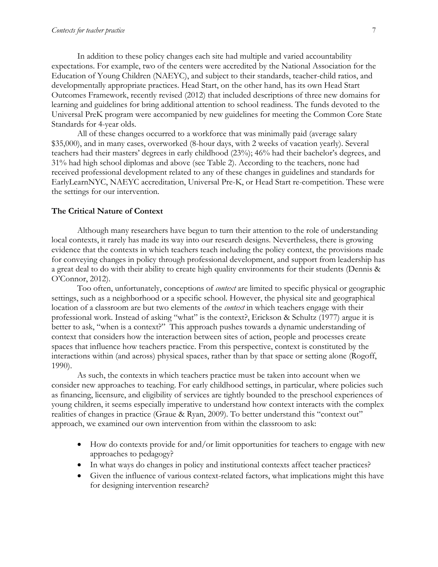In addition to these policy changes each site had multiple and varied accountability expectations. For example, two of the centers were accredited by the National Association for the Education of Young Children (NAEYC), and subject to their standards, teacher-child ratios, and developmentally appropriate practices. Head Start, on the other hand, has its own Head Start Outcomes Framework, recently revised (2012) that included descriptions of three new domains for learning and guidelines for bring additional attention to school readiness. The funds devoted to the Universal PreK program were accompanied by new guidelines for meeting the Common Core State Standards for 4-year olds.

All of these changes occurred to a workforce that was minimally paid (average salary \$35,000), and in many cases, overworked (8-hour days, with 2 weeks of vacation yearly). Several teachers had their masters' degrees in early childhood (23%); 46% had their bachelor's degrees, and 31% had high school diplomas and above (see Table 2). According to the teachers, none had received professional development related to any of these changes in guidelines and standards for EarlyLearnNYC, NAEYC accreditation, Universal Pre-K, or Head Start re-competition. These were the settings for our intervention.

#### **The Critical Nature of Context**

Although many researchers have begun to turn their attention to the role of understanding local contexts, it rarely has made its way into our research designs. Nevertheless, there is growing evidence that the contexts in which teachers teach including the policy context, the provisions made for conveying changes in policy through professional development, and support from leadership has a great deal to do with their ability to create high quality environments for their students (Dennis & O'Connor, 2012).

Too often, unfortunately, conceptions of *context* are limited to specific physical or geographic settings, such as a neighborhood or a specific school. However, the physical site and geographical location of a classroom are but two elements of the *context* in which teachers engage with their professional work. Instead of asking "what" is the context?, Erickson & Schultz (1977) argue it is better to ask, "when is a context?" This approach pushes towards a dynamic understanding of context that considers how the interaction between sites of action, people and processes create spaces that influence how teachers practice. From this perspective, context is constituted by the interactions within (and across) physical spaces, rather than by that space or setting alone (Rogoff, 1990).

As such, the contexts in which teachers practice must be taken into account when we consider new approaches to teaching. For early childhood settings, in particular, where policies such as financing, licensure, and eligibility of services are tightly bounded to the preschool experiences of young children, it seems especially imperative to understand how context interacts with the complex realities of changes in practice (Graue & Ryan, 2009). To better understand this "context out" approach, we examined our own intervention from within the classroom to ask:

- How do contexts provide for and/or limit opportunities for teachers to engage with new approaches to pedagogy?
- In what ways do changes in policy and institutional contexts affect teacher practices?
- Given the influence of various context-related factors, what implications might this have for designing intervention research?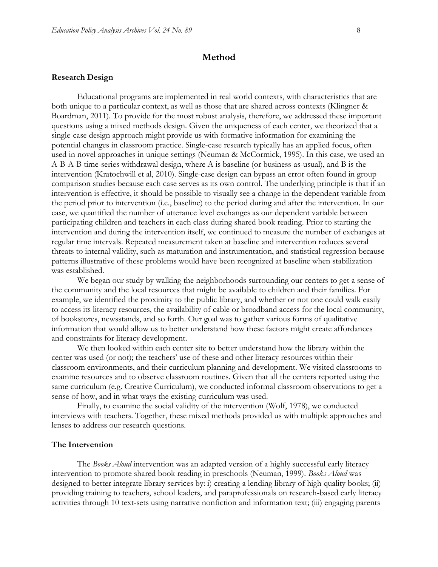#### **Method**

#### **Research Design**

Educational programs are implemented in real world contexts, with characteristics that are both unique to a particular context, as well as those that are shared across contexts (Klingner & Boardman, 2011). To provide for the most robust analysis, therefore, we addressed these important questions using a mixed methods design. Given the uniqueness of each center, we theorized that a single-case design approach might provide us with formative information for examining the potential changes in classroom practice. Single-case research typically has an applied focus, often used in novel approaches in unique settings (Neuman & McCormick, 1995). In this case, we used an A-B-A-B time-series withdrawal design, where A is baseline (or business-as-usual), and B is the intervention (Kratochwill et al, 2010). Single-case design can bypass an error often found in group comparison studies because each case serves as its own control. The underlying principle is that if an intervention is effective, it should be possible to visually see a change in the dependent variable from the period prior to intervention (i.e., baseline) to the period during and after the intervention. In our case, we quantified the number of utterance level exchanges as our dependent variable between participating children and teachers in each class during shared book reading. Prior to starting the intervention and during the intervention itself, we continued to measure the number of exchanges at regular time intervals. Repeated measurement taken at baseline and intervention reduces several threats to internal validity, such as maturation and instrumentation, and statistical regression because patterns illustrative of these problems would have been recognized at baseline when stabilization was established.

We began our study by walking the neighborhoods surrounding our centers to get a sense of the community and the local resources that might be available to children and their families. For example, we identified the proximity to the public library, and whether or not one could walk easily to access its literacy resources, the availability of cable or broadband access for the local community, of bookstores, newsstands, and so forth. Our goal was to gather various forms of qualitative information that would allow us to better understand how these factors might create affordances and constraints for literacy development.

We then looked within each center site to better understand how the library within the center was used (or not); the teachers' use of these and other literacy resources within their classroom environments, and their curriculum planning and development. We visited classrooms to examine resources and to observe classroom routines. Given that all the centers reported using the same curriculum (e.g. Creative Curriculum), we conducted informal classroom observations to get a sense of how, and in what ways the existing curriculum was used.

Finally, to examine the social validity of the intervention (Wolf, 1978), we conducted interviews with teachers. Together, these mixed methods provided us with multiple approaches and lenses to address our research questions.

#### **The Intervention**

The *Books Aloud* intervention was an adapted version of a highly successful early literacy intervention to promote shared book reading in preschools (Neuman, 1999). *Books Aloud* was designed to better integrate library services by: i) creating a lending library of high quality books; (ii) providing training to teachers, school leaders, and paraprofessionals on research-based early literacy activities through 10 text-sets using narrative nonfiction and information text; (iii) engaging parents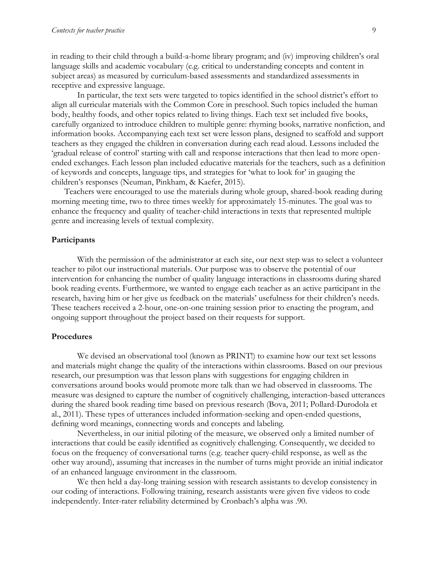in reading to their child through a build-a-home library program; and (iv) improving children's oral language skills and academic vocabulary (e.g. critical to understanding concepts and content in subject areas) as measured by curriculum-based assessments and standardized assessments in receptive and expressive language.

In particular, the text sets were targeted to topics identified in the school district's effort to align all curricular materials with the Common Core in preschool. Such topics included the human body, healthy foods, and other topics related to living things. Each text set included five books, carefully organized to introduce children to multiple genre: rhyming books, narrative nonfiction, and information books. Accompanying each text set were lesson plans, designed to scaffold and support teachers as they engaged the children in conversation during each read aloud. Lessons included the 'gradual release of control' starting with call and response interactions that then lead to more openended exchanges. Each lesson plan included educative materials for the teachers, such as a definition of keywords and concepts, language tips, and strategies for 'what to look for' in gauging the children's responses (Neuman, Pinkham, & Kaefer, 2015).

Teachers were encouraged to use the materials during whole group, shared-book reading during morning meeting time, two to three times weekly for approximately 15-minutes. The goal was to enhance the frequency and quality of teacher-child interactions in texts that represented multiple genre and increasing levels of textual complexity.

#### **Participants**

With the permission of the administrator at each site, our next step was to select a volunteer teacher to pilot our instructional materials. Our purpose was to observe the potential of our intervention for enhancing the number of quality language interactions in classrooms during shared book reading events. Furthermore, we wanted to engage each teacher as an active participant in the research, having him or her give us feedback on the materials' usefulness for their children's needs. These teachers received a 2-hour, one-on-one training session prior to enacting the program, and ongoing support throughout the project based on their requests for support.

#### **Procedures**

We devised an observational tool (known as PRINT!) to examine how our text set lessons and materials might change the quality of the interactions within classrooms. Based on our previous research, our presumption was that lesson plans with suggestions for engaging children in conversations around books would promote more talk than we had observed in classrooms. The measure was designed to capture the number of cognitively challenging, interaction-based utterances during the shared book reading time based on previous research (Bova, 2011; Pollard-Durodola et al., 2011). These types of utterances included information-seeking and open-ended questions, defining word meanings, connecting words and concepts and labeling.

Nevertheless, in our initial piloting of the measure, we observed only a limited number of interactions that could be easily identified as cognitively challenging. Consequently, we decided to focus on the frequency of conversational turns (e.g. teacher query-child response, as well as the other way around), assuming that increases in the number of turns might provide an initial indicator of an enhanced language environment in the classroom.

We then held a day-long training session with research assistants to develop consistency in our coding of interactions. Following training, research assistants were given five videos to code independently. Inter-rater reliability determined by Cronbach's alpha was .90.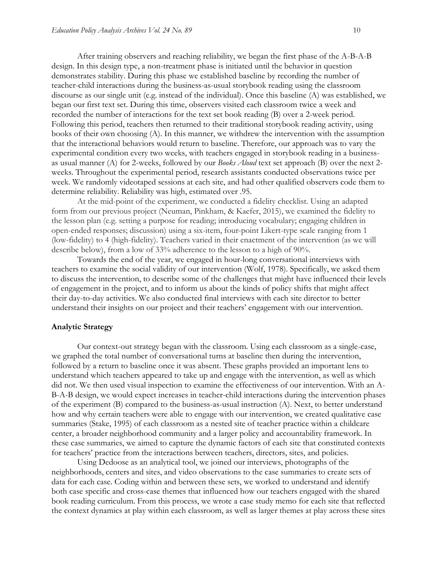After training observers and reaching reliability, we began the first phase of the A-B-A-B design. In this design type, a non-treatment phase is initiated until the behavior in question demonstrates stability. During this phase we established baseline by recording the number of teacher-child interactions during the business-as-usual storybook reading using the classroom discourse as our single unit (e.g. instead of the individual). Once this baseline (A) was established, we began our first text set. During this time, observers visited each classroom twice a week and recorded the number of interactions for the text set book reading (B) over a 2-week period. Following this period, teachers then returned to their traditional storybook reading activity, using books of their own choosing (A). In this manner, we withdrew the intervention with the assumption that the interactional behaviors would return to baseline. Therefore, our approach was to vary the experimental condition every two weeks, with teachers engaged in storybook reading in a businessas usual manner (A) for 2-weeks, followed by our *Books Aloud* text set approach (B) over the next 2 weeks. Throughout the experimental period, research assistants conducted observations twice per week. We randomly videotaped sessions at each site, and had other qualified observers code them to determine reliability. Reliability was high, estimated over .95.

At the mid-point of the experiment, we conducted a fidelity checklist. Using an adapted form from our previous project (Neuman, Pinkham, & Kaefer, 2015), we examined the fidelity to the lesson plan (e.g. setting a purpose for reading; introducing vocabulary; engaging children in open-ended responses; discussion) using a six-item, four-point Likert-type scale ranging from 1 (low-fidelity) to 4 (high-fidelity). Teachers varied in their enactment of the intervention (as we will describe below), from a low of 33% adherence to the lesson to a high of 90%.

Towards the end of the year, we engaged in hour-long conversational interviews with teachers to examine the social validity of our intervention (Wolf, 1978). Specifically, we asked them to discuss the intervention, to describe some of the challenges that might have influenced their levels of engagement in the project, and to inform us about the kinds of policy shifts that might affect their day-to-day activities. We also conducted final interviews with each site director to better understand their insights on our project and their teachers' engagement with our intervention.

#### **Analytic Strategy**

Our context-out strategy began with the classroom. Using each classroom as a single-case, we graphed the total number of conversational turns at baseline then during the intervention, followed by a return to baseline once it was absent. These graphs provided an important lens to understand which teachers appeared to take up and engage with the intervention, as well as which did not. We then used visual inspection to examine the effectiveness of our intervention. With an A-B-A-B design, we would expect increases in teacher-child interactions during the intervention phases of the experiment (B) compared to the business-as-usual instruction (A). Next, to better understand how and why certain teachers were able to engage with our intervention, we created qualitative case summaries (Stake, 1995) of each classroom as a nested site of teacher practice within a childcare center, a broader neighborhood community and a larger policy and accountability framework. In these case summaries, we aimed to capture the dynamic factors of each site that constituted contexts for teachers' practice from the interactions between teachers, directors, sites, and policies.

Using Dedoose as an analytical tool, we joined our interviews, photographs of the neighborhoods, centers and sites, and video observations to the case summaries to create sets of data for each case. Coding within and between these sets, we worked to understand and identify both case specific and cross-case themes that influenced how our teachers engaged with the shared book reading curriculum. From this process, we wrote a case study memo for each site that reflected the context dynamics at play within each classroom, as well as larger themes at play across these sites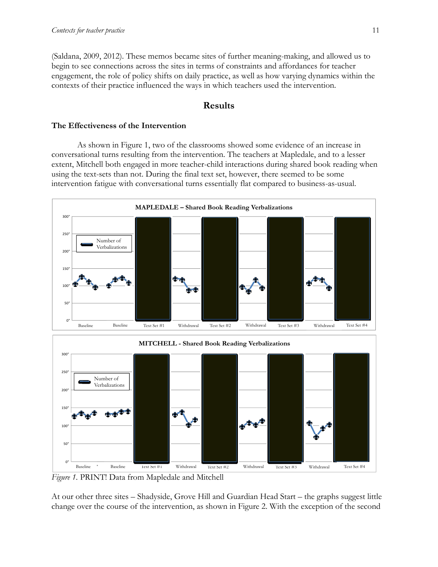(Saldana, 2009, 2012). These memos became sites of further meaning-making, and allowed us to begin to see connections across the sites in terms of constraints and affordances for teacher engagement, the role of policy shifts on daily practice, as well as how varying dynamics within the contexts of their practice influenced the ways in which teachers used the intervention.

### **Results**

#### **The Effectiveness of the Intervention**

As shown in Figure 1, two of the classrooms showed some evidence of an increase in conversational turns resulting from the intervention. The teachers at Mapledale, and to a lesser extent, Mitchell both engaged in more teacher-child interactions during shared book reading when using the text-sets than not. During the final text set, however, there seemed to be some intervention fatigue with conversational turns essentially flat compared to business-as-usual.



*Figure 1.* PRINT! Data from Mapledale and Mitchell

At our other three sites – Shadyside, Grove Hill and Guardian Head Start – the graphs suggest little change over the course of the intervention, as shown in Figure 2. With the exception of the second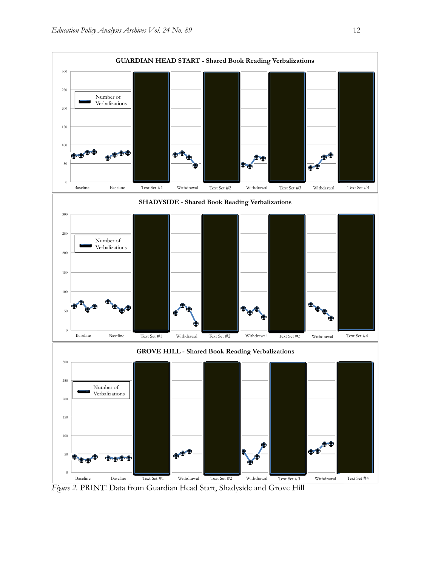

*Figure 2.* PRINT! Data from Guardian Head Start, Shadyside and Grove Hill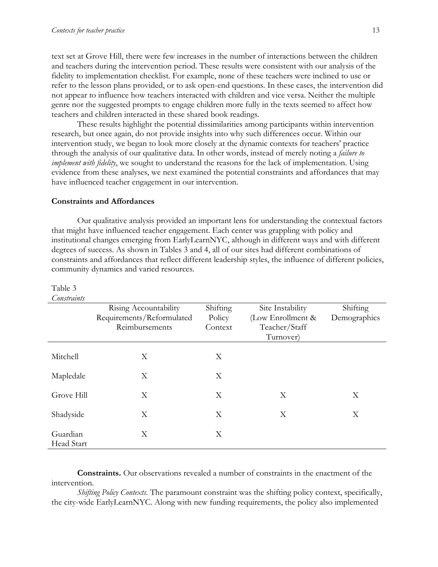text set at Grove Hill, there were few increases in the number of interactions between the children and teachers during the intervention period. These results were consistent with our analysis of the fidelity to implementation checklist. For example, none of these teachers were inclined to use or refer to the lesson plans provided, or to ask open-end questions. In these cases, the intervention did not appear to influence how teachers interacted with children and vice versa. Neither the multiple genre nor the suggested prompts to engage children more fully in the texts seemed to affect how teachers and children interacted in these shared book readings.

These results highlight the potential dissimilarities among participants within intervention research, but once again, do not provide insights into why such differences occur. Within our intervention study, we began to look more closely at the dynamic contexts for teachers' practice through the analysis of our qualitative data. In other words, instead of merely noting a *failure to implement with fidelity*, we sought to understand the reasons for the lack of implementation. Using evidence from these analyses, we next examined the potential constraints and affordances that may have influenced teacher engagement in our intervention.

#### **Constraints and Affordances**

Our qualitative analysis provided an important lens for understanding the contextual factors that might have influenced teacher engagement. Each center was grappling with policy and institutional changes emerging from EarlyLearnNYC, although in different ways and with different degrees of success. As shown in Tables 3 and 4, all of our sites had different combinations of constraints and affordances that reflect different leadership styles, the influence of different policies, community dynamics and varied resources.

| Conservents |                           |          |                   |              |
|-------------|---------------------------|----------|-------------------|--------------|
|             | Rising Accountability     | Shifting | Site Instability  | Shifting     |
|             | Requirements/Reformulated | Policy   | (Low Enrollment & | Demographics |
|             | Reimbursements            | Context  | Teacher/Staff     |              |
|             |                           |          | Turnover)         |              |
|             |                           |          |                   |              |
| Mitchell    | X                         | X        |                   |              |
|             |                           |          |                   |              |
| Mapledale   | X                         | X        |                   |              |
|             |                           |          |                   |              |
| Grove Hill  | X                         | X        | X                 | X            |
|             |                           |          |                   |              |
| Shadyside   | X                         | X        | Χ                 | Χ            |
|             |                           |          |                   |              |
| Guardian    | X                         | X        |                   |              |
| Head Start  |                           |          |                   |              |

Table 3 *Constraints*

**Constraints.** Our observations revealed a number of constraints in the enactment of the intervention.

*Shifting Policy Contexts*. The paramount constraint was the shifting policy context, specifically, the city-wide EarlyLearnNYC. Along with new funding requirements, the policy also implemented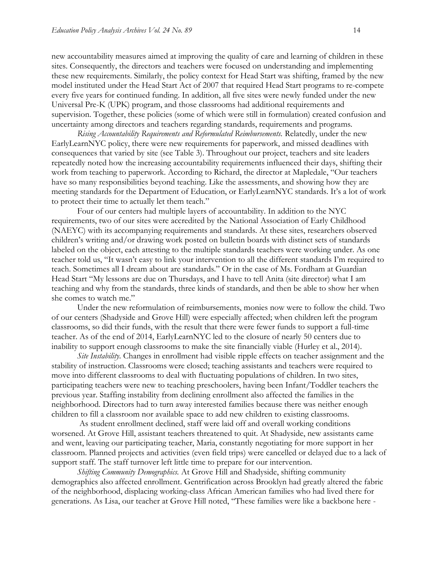new accountability measures aimed at improving the quality of care and learning of children in these sites. Consequently, the directors and teachers were focused on understanding and implementing these new requirements. Similarly, the policy context for Head Start was shifting, framed by the new model instituted under the Head Start Act of 2007 that required Head Start programs to re-compete every five years for continued funding. In addition, all five sites were newly funded under the new Universal Pre-K (UPK) program, and those classrooms had additional requirements and supervision. Together, these policies (some of which were still in formulation) created confusion and uncertainty among directors and teachers regarding standards, requirements and programs.

*Rising Accountability Requirements and Reformulated Reimbursements.* Relatedly, under the new EarlyLearnNYC policy, there were new requirements for paperwork, and missed deadlines with consequences that varied by site (see Table 3). Throughout our project, teachers and site leaders repeatedly noted how the increasing accountability requirements influenced their days, shifting their work from teaching to paperwork. According to Richard, the director at Mapledale, "Our teachers have so many responsibilities beyond teaching. Like the assessments, and showing how they are meeting standards for the Department of Education, or EarlyLearnNYC standards. It's a lot of work to protect their time to actually let them teach."

Four of our centers had multiple layers of accountability. In addition to the NYC requirements, two of our sites were accredited by the National Association of Early Childhood (NAEYC) with its accompanying requirements and standards. At these sites, researchers observed children's writing and/or drawing work posted on bulletin boards with distinct sets of standards labeled on the object, each attesting to the multiple standards teachers were working under. As one teacher told us, "It wasn't easy to link your intervention to all the different standards I'm required to teach. Sometimes all I dream about are standards." Or in the case of Ms. Fordham at Guardian Head Start "My lessons are due on Thursdays, and I have to tell Anita (site director) what I am teaching and why from the standards, three kinds of standards, and then be able to show her when she comes to watch me."

Under the new reformulation of reimbursements, monies now were to follow the child. Two of our centers (Shadyside and Grove Hill) were especially affected; when children left the program classrooms, so did their funds, with the result that there were fewer funds to support a full-time teacher. As of the end of 2014, EarlyLearnNYC led to the closure of nearly 50 centers due to inability to support enough classrooms to make the site financially viable (Hurley et al., 2014).

*Site Instability*. Changes in enrollment had visible ripple effects on teacher assignment and the stability of instruction. Classrooms were closed; teaching assistants and teachers were required to move into different classrooms to deal with fluctuating populations of children. In two sites, participating teachers were new to teaching preschoolers, having been Infant/Toddler teachers the previous year. Staffing instability from declining enrollment also affected the families in the neighborhood. Directors had to turn away interested families because there was neither enough children to fill a classroom nor available space to add new children to existing classrooms.

As student enrollment declined, staff were laid off and overall working conditions worsened. At Grove Hill, assistant teachers threatened to quit. At Shadyside, new assistants came and went, leaving our participating teacher, Maria, constantly negotiating for more support in her classroom. Planned projects and activities (even field trips) were cancelled or delayed due to a lack of support staff. The staff turnover left little time to prepare for our intervention.

*Shifting Community Demographics.* At Grove Hill and Shadyside, shifting community demographics also affected enrollment. Gentrification across Brooklyn had greatly altered the fabric of the neighborhood, displacing working-class African American families who had lived there for generations. As Lisa, our teacher at Grove Hill noted, "These families were like a backbone here -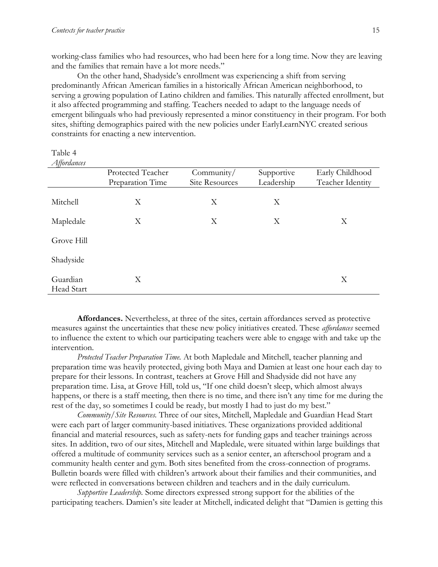working-class families who had resources, who had been here for a long time. Now they are leaving and the families that remain have a lot more needs."

On the other hand, Shadyside's enrollment was experiencing a shift from serving predominantly African American families in a historically African American neighborhood, to serving a growing population of Latino children and families. This naturally affected enrollment, but it also affected programming and staffing. Teachers needed to adapt to the language needs of emergent bilinguals who had previously represented a minor constituency in their program. For both sites, shifting demographics paired with the new policies under EarlyLearnNYC created serious constraints for enacting a new intervention.

Table 4

| Affordances            |                   |                |            |                  |
|------------------------|-------------------|----------------|------------|------------------|
|                        | Protected Teacher | Community/     | Supportive | Early Childhood  |
|                        | Preparation Time  | Site Resources | Leadership | Teacher Identity |
| Mitchell               | X                 | X              | X          |                  |
| Mapledale              | X                 | X              | X          | X                |
| Grove Hill             |                   |                |            |                  |
| Shadyside              |                   |                |            |                  |
| Guardian<br>Head Start | X                 |                |            | Χ                |

**Affordances.** Nevertheless, at three of the sites, certain affordances served as protective measures against the uncertainties that these new policy initiatives created. These *affordances* seemed to influence the extent to which our participating teachers were able to engage with and take up the intervention.

*Protected Teacher Preparation Time.* At both Mapledale and Mitchell, teacher planning and preparation time was heavily protected, giving both Maya and Damien at least one hour each day to prepare for their lessons. In contrast, teachers at Grove Hill and Shadyside did not have any preparation time. Lisa, at Grove Hill, told us, "If one child doesn't sleep, which almost always happens, or there is a staff meeting, then there is no time, and there isn't any time for me during the rest of the day, so sometimes I could be ready, but mostly I had to just do my best."

*Community/Site Resources.* Three of our sites, Mitchell, Mapledale and Guardian Head Start were each part of larger community-based initiatives. These organizations provided additional financial and material resources, such as safety-nets for funding gaps and teacher trainings across sites. In addition, two of our sites, Mitchell and Mapledale, were situated within large buildings that offered a multitude of community services such as a senior center, an afterschool program and a community health center and gym. Both sites benefited from the cross-connection of programs. Bulletin boards were filled with children's artwork about their families and their communities, and were reflected in conversations between children and teachers and in the daily curriculum.

*Supportive Leadership.* Some directors expressed strong support for the abilities of the participating teachers. Damien's site leader at Mitchell, indicated delight that "Damien is getting this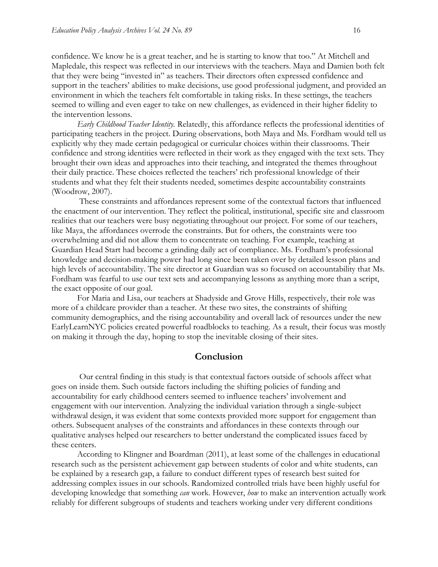confidence. We know he is a great teacher, and he is starting to know that too." At Mitchell and Mapledale, this respect was reflected in our interviews with the teachers. Maya and Damien both felt that they were being "invested in" as teachers. Their directors often expressed confidence and support in the teachers' abilities to make decisions, use good professional judgment, and provided an environment in which the teachers felt comfortable in taking risks. In these settings, the teachers seemed to willing and even eager to take on new challenges, as evidenced in their higher fidelity to the intervention lessons.

*Early Childhood Teacher Identity.* Relatedly, this affordance reflects the professional identities of participating teachers in the project. During observations, both Maya and Ms. Fordham would tell us explicitly why they made certain pedagogical or curricular choices within their classrooms. Their confidence and strong identities were reflected in their work as they engaged with the text sets. They brought their own ideas and approaches into their teaching, and integrated the themes throughout their daily practice. These choices reflected the teachers' rich professional knowledge of their students and what they felt their students needed, sometimes despite accountability constraints (Woodrow, 2007).

These constraints and affordances represent some of the contextual factors that influenced the enactment of our intervention. They reflect the political, institutional, specific site and classroom realities that our teachers were busy negotiating throughout our project. For some of our teachers, like Maya, the affordances overrode the constraints. But for others, the constraints were too overwhelming and did not allow them to concentrate on teaching. For example, teaching at Guardian Head Start had become a grinding daily act of compliance. Ms. Fordham's professional knowledge and decision-making power had long since been taken over by detailed lesson plans and high levels of accountability. The site director at Guardian was so focused on accountability that Ms. Fordham was fearful to use our text sets and accompanying lessons as anything more than a script, the exact opposite of our goal.

For Maria and Lisa, our teachers at Shadyside and Grove Hills, respectively, their role was more of a childcare provider than a teacher. At these two sites, the constraints of shifting community demographics, and the rising accountability and overall lack of resources under the new EarlyLearnNYC policies created powerful roadblocks to teaching. As a result, their focus was mostly on making it through the day, hoping to stop the inevitable closing of their sites.

#### **Conclusion**

Our central finding in this study is that contextual factors outside of schools affect what goes on inside them. Such outside factors including the shifting policies of funding and accountability for early childhood centers seemed to influence teachers' involvement and engagement with our intervention. Analyzing the individual variation through a single-subject withdrawal design, it was evident that some contexts provided more support for engagement than others. Subsequent analyses of the constraints and affordances in these contexts through our qualitative analyses helped our researchers to better understand the complicated issues faced by these centers.

According to Klingner and Boardman (2011), at least some of the challenges in educational research such as the persistent achievement gap between students of color and white students, can be explained by a research gap, a failure to conduct different types of research best suited for addressing complex issues in our schools. Randomized controlled trials have been highly useful for developing knowledge that something *can* work. However, *how* to make an intervention actually work reliably for different subgroups of students and teachers working under very different conditions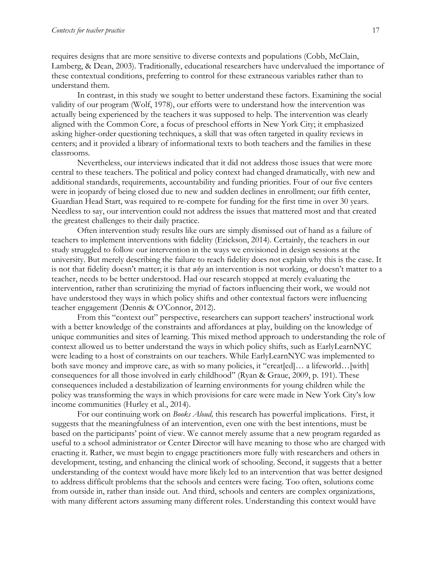requires designs that are more sensitive to diverse contexts and populations (Cobb, McClain, Lamberg, & Dean, 2003). Traditionally, educational researchers have undervalued the importance of these contextual conditions, preferring to control for these extraneous variables rather than to understand them.

In contrast, in this study we sought to better understand these factors. Examining the social validity of our program (Wolf, 1978), our efforts were to understand how the intervention was actually being experienced by the teachers it was supposed to help. The intervention was clearly aligned with the Common Core, a focus of preschool efforts in New York City; it emphasized asking higher-order questioning techniques, a skill that was often targeted in quality reviews in centers; and it provided a library of informational texts to both teachers and the families in these classrooms.

Nevertheless, our interviews indicated that it did not address those issues that were more central to these teachers. The political and policy context had changed dramatically, with new and additional standards, requirements, accountability and funding priorities. Four of our five centers were in jeopardy of being closed due to new and sudden declines in enrollment; our fifth center, Guardian Head Start, was required to re-compete for funding for the first time in over 30 years. Needless to say, our intervention could not address the issues that mattered most and that created the greatest challenges to their daily practice.

Often intervention study results like ours are simply dismissed out of hand as a failure of teachers to implement interventions with fidelity (Erickson, 2014). Certainly, the teachers in our study struggled to follow our intervention in the ways we envisioned in design sessions at the university. But merely describing the failure to reach fidelity does not explain why this is the case. It is not that fidelity doesn't matter; it is that *why* an intervention is not working, or doesn't matter to a teacher, needs to be better understood. Had our research stopped at merely evaluating the intervention, rather than scrutinizing the myriad of factors influencing their work, we would not have understood they ways in which policy shifts and other contextual factors were influencing teacher engagement (Dennis & O'Connor, 2012).

From this "context out" perspective, researchers can support teachers' instructional work with a better knowledge of the constraints and affordances at play, building on the knowledge of unique communities and sites of learning. This mixed method approach to understanding the role of context allowed us to better understand the ways in which policy shifts, such as EarlyLearnNYC were leading to a host of constraints on our teachers. While EarlyLearnNYC was implemented to both save money and improve care, as with so many policies, it "creat[ed]... a lifeworld... [with] consequences for all those involved in early childhood" (Ryan & Graue, 2009, p. 191). These consequences included a destabilization of learning environments for young children while the policy was transforming the ways in which provisions for care were made in New York City's low income communities (Hurley et al., 2014).

For our continuing work on *Books Aloud,* this research has powerful implications. First, it suggests that the meaningfulness of an intervention, even one with the best intentions, must be based on the participants' point of view. We cannot merely assume that a new program regarded as useful to a school administrator or Center Director will have meaning to those who are charged with enacting it. Rather, we must begin to engage practitioners more fully with researchers and others in development, testing, and enhancing the clinical work of schooling. Second, it suggests that a better understanding of the context would have more likely led to an intervention that was better designed to address difficult problems that the schools and centers were facing. Too often, solutions come from outside in, rather than inside out. And third, schools and centers are complex organizations, with many different actors assuming many different roles. Understanding this context would have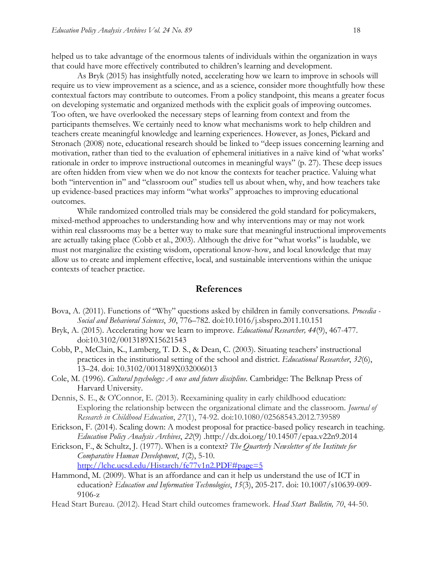helped us to take advantage of the enormous talents of individuals within the organization in ways that could have more effectively contributed to children's learning and development.

As Bryk (2015) has insightfully noted, accelerating how we learn to improve in schools will require us to view improvement as a science, and as a science, consider more thoughtfully how these contextual factors may contribute to outcomes. From a policy standpoint, this means a greater focus on developing systematic and organized methods with the explicit goals of improving outcomes. Too often, we have overlooked the necessary steps of learning from context and from the participants themselves. We certainly need to know what mechanisms work to help children and teachers create meaningful knowledge and learning experiences. However, as Jones, Pickard and Stronach (2008) note, educational research should be linked to "deep issues concerning learning and motivation, rather than tied to the evaluation of ephemeral initiatives in a naïve kind of 'what works' rationale in order to improve instructional outcomes in meaningful ways" (p. 27). These deep issues are often hidden from view when we do not know the contexts for teacher practice. Valuing what both "intervention in" and "classroom out" studies tell us about when, why, and how teachers take up evidence-based practices may inform "what works" approaches to improving educational outcomes.

While randomized controlled trials may be considered the gold standard for policymakers, mixed-method approaches to understanding how and why interventions may or may not work within real classrooms may be a better way to make sure that meaningful instructional improvements are actually taking place (Cobb et al., 2003). Although the drive for "what works" is laudable, we must not marginalize the existing wisdom, operational know-how, and local knowledge that may allow us to create and implement effective, local, and sustainable interventions within the unique contexts of teacher practice.

#### **References**

- Bova, A. (2011). Functions of "Why" questions asked by children in family conversations. *Procedia - Social and Behavioral Sciences*, *30*, 776–782. doi:10.1016/j.sbspro.2011.10.151
- Bryk, A. (2015). Accelerating how we learn to improve. *Educational Researcher, 44*(9), 467-477. doi:10.3102/0013189X15621543
- Cobb, P., McClain, K., Lamberg, T. D. S., & Dean, C. (2003). Situating teachers' instructional practices in the institutional setting of the school and district. *Educational Researcher*, *32*(6), 13–24. doi: 10.3102/0013189X032006013
- Cole, M. (1996). *Cultural psychology: A once and future discipline.* Cambridge: The Belknap Press of Harvard University.
- Dennis, S. E., & O'Connor, E. (2013). Reexamining quality in early childhood education: Exploring the relationship between the organizational climate and the classroom. *Journal of Research in Childhood Education*, *27*(1), 74-92. doi:10.1080/02568543.2012.739589
- Erickson, F. (2014). Scaling down: A modest proposal for practice-based policy research in teaching. *Education Policy Analysis Archives*, *22*(9) .http://dx.doi.org/10.14507/epaa.v22n9.2014
- Erickson, F., & Schultz, J. (1977). When is a context? *The Quarterly Newsletter of the Institute for Comparative Human Development*, *1*(2), 5-10. <http://lchc.ucsd.edu/Histarch/fe77v1n2.PDF#page=5>
- Hammond, M. (2009). What is an affordance and can it help us understand the use of ICT in education? *Education and Information Technologies*, *15*(3), 205-217. doi: 10.1007/s10639-009- 9106-z
- Head Start Bureau. (2012). Head Start child outcomes framework. *Head Start Bulletin, 70*, 44-50.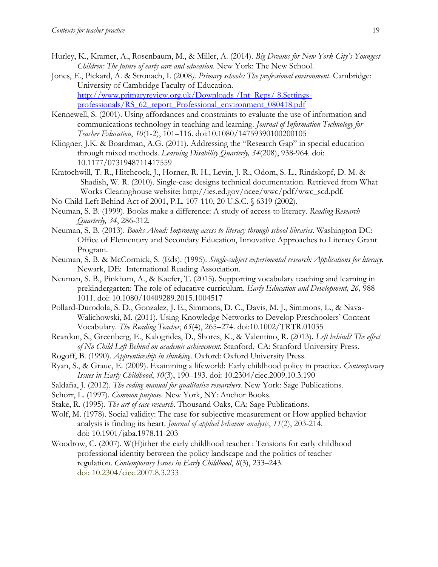- Hurley, K., Kramer, A., Rosenbaum, M., & Miller, A. (2014). *Big Dreams for New York City's Youngest Children: The future of early care and education*. New York: The New School.
- Jones, E., Pickard, A. & Stronach, I. (2008*). Primary schools: The professional environment*. Cambridge: University of Cambridge Faculty of Education. [http://www.primaryreview.org.uk/Downloads /Int\\_Reps/ 8.Settings](http://www.primaryreview.org.uk/Downloads%20/Int_Reps/%208.Settings-professionals/RS_62_report_Professional_environment_080418.pdf)[professionals/RS\\_62\\_report\\_Professional\\_environment\\_080418.pdf](http://www.primaryreview.org.uk/Downloads%20/Int_Reps/%208.Settings-professionals/RS_62_report_Professional_environment_080418.pdf)
- Kennewell, S. (2001). Using affordances and constraints to evaluate the use of information and communications technology in teaching and learning. *Journal of Information Technology for Teacher Education*, *10*(1-2), 101–116. doi:10.1080/14759390100200105
- Klingner, J.K. & Boardman, A.G. (2011). Addressing the "Research Gap" in special education through mixed methods. *Learning Disability Quarterly, 34*(208), 938-964. doi: 10.1177/0731948711417559
- Kratochwill, T. R., Hitchcock, J., Horner, R. H., Levin, J. R., Odom, S. L., Rindskopf, D. M. & Shadish, W. R. (2010). Single-case designs technical documentation. Retrieved from What Works Clearinghouse website: http://ies.ed.gov/ncee/wwc/pdf/wwc\_scd.pdf.
- No Child Left Behind Act of 2001, P.L. 107-110, 20 U.S.C. § 6319 (2002).
- Neuman, S. B. (1999). Books make a difference: A study of access to literacy. *Reading Research Quarterly, 34*, 286-312.
- Neuman, S. B. (2013). *Books Aloud: Improving access to literacy through school libraries*. Washington DC: Office of Elementary and Secondary Education, Innovative Approaches to Literacy Grant Program.
- Neuman, S. B. & McCormick, S. (Eds). (1995). *Single-subject experimental research: Applications for literacy.*  Newark, DE: International Reading Association.
- Neuman, S. B., Pinkham, A., & Kaefer, T. (2015). Supporting vocabulary teaching and learning in prekindergarten: The role of educative curriculum. *Early Education and Development, 26,* 988- 1011. doi: 10.1080/10409289.2015.1004517
- Pollard-Durodola, S. D., Gonzalez, J. E., Simmons, D. C., Davis, M. J., Simmons, L., & Nava-Walichowski, M. (2011). Using Knowledge Networks to Develop Preschoolers' Content Vocabulary. *The Reading Teacher*, *65*(4), 265–274. doi:10.1002/TRTR.01035
- Reardon, S., Greenberg, E., Kalogrides, D., Shores, K., & Valentino, R. (2013). *Left behind? The effect of No Child Left Behind on academic achievement.* Stanford, CA: Stanford University Press.
- Rogoff, B. (1990). *Apprenticeship in thinking*. Oxford: Oxford University Press.
- Ryan, S., & Graue, E. (2009). Examining a lifeworld: Early childhood policy in practice. *Contemporary Issues in Early Childhood*, *10*(3), 190–193. doi: 10.2304/ciec.2009.10.3.190
- Saldaña, J. (2012). *The coding manual for qualitative researchers.* New York: Sage Publications.
- Schorr, L. (1997). *Common purpose*. New York, NY: Anchor Books.
- Stake, R. (1995). *The art of case research*. Thousand Oaks, CA: Sage Publications.
- Wolf, M. (1978). Social validity: The case for subjective measurement or How applied behavior analysis is finding its heart. *Journal of applied behavior analysis*, *11*(2), 203-214. doi: 10.1901/jaba.1978.11-203
- Woodrow, C. (2007). W(H)ither the early childhood teacher : Tensions for early childhood professional identity between the policy landscape and the politics of teacher regulation. *Contemporary Issues in Early Childhood*, *8*(3), 233–243. doi: 10.2304/ciec.2007.8.3.233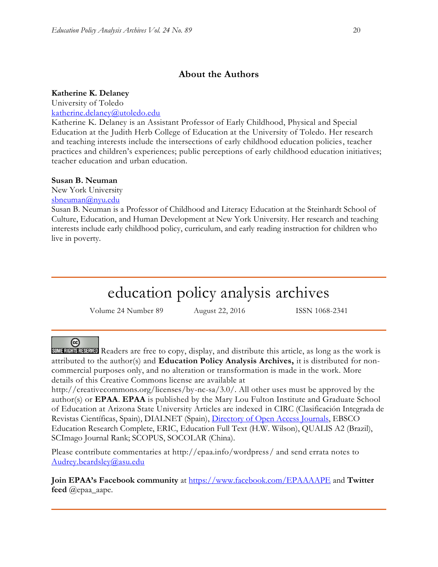## **About the Authors**

#### **Katherine K. Delaney**

University of Toledo

[katherine.delaney@utoledo.edu](mailto:katherine.delaney@utoledo.edu)

Katherine K. Delaney is an Assistant Professor of Early Childhood, Physical and Special Education at the Judith Herb College of Education at the University of Toledo. Her research and teaching interests include the intersections of early childhood education policies, teacher practices and children's experiences; public perceptions of early childhood education initiatives; teacher education and urban education.

#### **Susan B. Neuman**

New York University [sbneuman@nyu.edu](mailto:sbneuman@nyu.edu)

Susan B. Neuman is a Professor of Childhood and Literacy Education at the Steinhardt School of Culture, Education, and Human Development at New York University. Her research and teaching interests include early childhood policy, curriculum, and early reading instruction for children who live in poverty.

## education policy analysis archives

Volume 24 Number 89 August 22, 2016 ISSN 1068-2341

## ര

SOME RIGHTS RESERVED Readers are free to copy, display, and distribute this article, as long as the work is attributed to the author(s) and **Education Policy Analysis Archives,** it is distributed for noncommercial purposes only, and no alteration or transformation is made in the work. More details of this Creative Commons license are available at

http://creativecommons.org/licenses/by-nc-sa/3.0/. All other uses must be approved by the author(s) or **EPAA**. **EPAA** is published by the Mary Lou Fulton Institute and Graduate School of Education at Arizona State University Articles are indexed in CIRC (Clasificación Integrada de Revistas Científicas, Spain), DIALNET (Spain), [Directory of Open Access Journals,](http://www.doaj.org/) EBSCO Education Research Complete, ERIC, Education Full Text (H.W. Wilson), QUALIS A2 (Brazil), SCImago Journal Rank; SCOPUS, SOCOLAR (China).

Please contribute commentaries at http://epaa.info/wordpress/ and send errata notes to [Audrey.beardsley@asu.edu](mailto:Audrey.beardsley@asu.edu)

**Join EPAA's Facebook community** at<https://www.facebook.com/EPAAAAPE> and **Twitter feed** @epaa\_aape.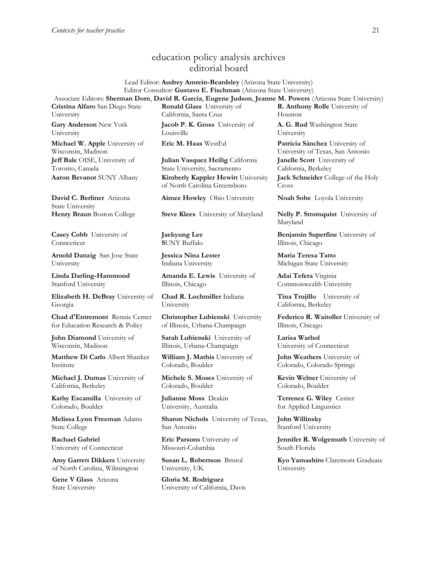### education policy analysis archives editorial board

Lead Editor: **Audrey Amrein-Beardsley** (Arizona State University) Editor Consultor: **Gustavo E. Fischman** (Arizona State University)

Associate Editors: **Sherman Dorn**, **David R. Garcia**, **Eugene Judson**, **Jeanne M. Powers** (Arizona State University) **Ronald Glass** University of

**Cristina Alfaro** San Diego State University

**Gary Anderson** New York University **Michael W. Apple** University of Wisconsin, Madison **Jeff Bale** OISE, University of Toronto, Canada

**David C. Berliner** Arizona State University

**Casey Cobb** University of Connecticut

**Arnold Danzig** San Jose State University

**Linda Darling-Hammond**  Stanford University

**Elizabeth H. DeBray** University of Georgia

**Chad d'Entremont** Rennie Center for Education Research & Policy

**John Diamond** University of Wisconsin, Madison

**Matthew Di Carlo** Albert Shanker Institute

**Michael J. Dumas** University of California, Berkeley

**Kathy Escamilla** University of Colorado, Boulder

**Melissa Lynn Freeman** Adams State College

**Rachael Gabriel** University of Connecticut

**Amy Garrett Dikkers** University of North Carolina, Wilmington

**Gene V Glass** Arizona State University

California, Santa Cruz **Jacob P. K. Gross** University of Louisville

**Julian Vasquez Heilig** California State University, Sacramento **Aaron Bevanot** SUNY Albany **Kimberly Kappler Hewitt** University of North Carolina Greensboro

**Aimee Howley** Ohio University **Noah Sobe** Loyola University

**Henry Braun** Boston College **Steve Klees** University of Maryland **Nelly P. Stromquist** University of

**Jaekyung Lee S**UNY Buffalo

**Jessica Nina Lester** Indiana University

**Amanda E. Lewis** University of Illinois, Chicago

**Chad R. Lochmiller** Indiana University

**Christopher Lubienski** University of Illinois, Urbana-Champaign

**Sarah Lubienski** University of Illinois, Urbana-Champaign

**William J. Mathis** University of Colorado, Boulder

**Michele S. Moses** University of Colorado, Boulder

**Julianne Moss** Deakin University, Australia

**Sharon Nichols** University of Texas, San Antonio

**Eric Parsons** University of Missouri-Columbia

**Susan L. Robertson** Bristol University, UK

**Gloria M. Rodriguez** University of California, Davis **R. Anthony Rolle** University of Houston

**A. G. Rud** Washington State University

**Eric M. Haas** WestEd **Patricia Sánchez** University of University of Texas, San Antonio **Janelle Scott** University of California, Berkeley **Jack Schneider** College of the Holy Cross

Maryland

**Benjamin Superfine** University of Illinois, Chicago

**Maria Teresa Tatto**  Michigan State University

**Adai Tefera** Virginia Commonwealth University

**Tina Trujillo** University of California, Berkeley

**Federico R. Waitoller** University of Illinois, Chicago

**Larisa Warhol** University of Connecticut

**John Weathers** University of Colorado, Colorado Springs

**Kevin Welner** University of Colorado, Boulder

**Terrence G. Wiley** Center for Applied Linguistics

**John Willinsky**  Stanford University

**Jennifer R. Wolgemuth** University of South Florida

**Kyo Yamashiro** Claremont Graduate University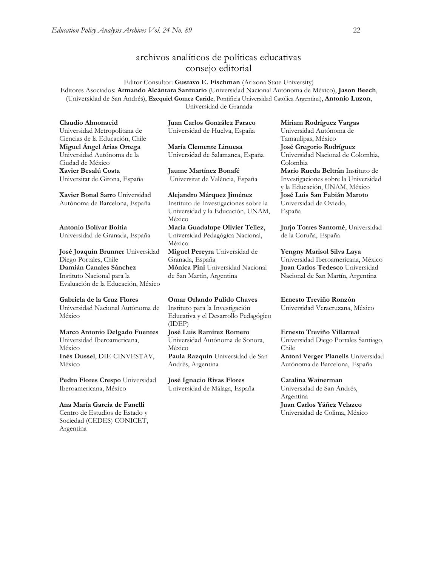## archivos analíticos de políticas educativas consejo editorial

Editor Consultor: **Gustavo E. Fischman** (Arizona State University) Editores Asociados: **Armando Alcántara Santuario** (Universidad Nacional Autónoma de México), **Jason Beech**, (Universidad de San Andrés), **Ezequiel Gomez Caride**, Pontificia Universidad Católica Argentina), **Antonio Luzon**, Universidad de Granada

**Claudio Almonacid** Universidad Metropolitana de Ciencias de la Educación, Chile **Miguel Ángel Arias Ortega**  Universidad Autónoma de la Ciudad de México **Xavier Besalú Costa**  Universitat de Girona, España

**[Xavier Bonal](javascript:openRTWindow() Sarro** Universidad Autónoma de Barcelona, España

**[Antonio Bolívar](javascript:openRTWindow() Boitia** Universidad de Granada, España

**[José Joaquín Brunner](javascript:openRTWindow()** Universidad Diego Portales, Chile **[Damián Canales Sánchez](javascript:openRTWindow()** Instituto Nacional para la Evaluación de la Educación, México

#### **Gabriela de la Cruz Flores** Universidad Nacional Autónoma de México

**[Marco Antonio Delgado Fuentes](javascript:openRTWindow()** Universidad Iberoamericana, México

**[Inés Dussel](javascript:openRTWindow()**, DIE-CINVESTAV, México

**[Pedro Flores Crespo](javascript:openRTWindow()** Universidad Iberoamericana, México

#### **Ana María García de Fanelli**  Centro de Estudios de Estado y Sociedad (CEDES) CONICET,

Argentina

**Juan Carlos González Faraco**  Universidad de Huelva, España

**María Clemente Linuesa**  Universidad de Salamanca, España

**Jaume Martínez Bonafé** Universitat de València, España

**Alejandro Márquez Jiménez**  Instituto de Investigaciones sobre la Universidad y la Educación, UNAM, México **María Guadalupe Olivier Tellez**, Universidad Pedagógica Nacional, México **[Miguel Pereyra](javascript:openRTWindow()** Universidad de Granada, España **[Mónica Pini](javascript:openRTWindow()** Universidad Nacional de San Martín, Argentina

**Omar Orlando Pulido Chaves** Instituto para la Investigación Educativa y el Desarrollo Pedagógico (IDEP) **[José Luis Ramírez](javascript:openRTWindow() Romero**

Universidad Autónoma de Sonora, México **[Paula Razquin](javascript:openRTWindow()** Universidad de San Andrés, Argentina

**José Ignacio Rivas Flores** Universidad de Málaga, España **[Miriam Rodríguez Vargas](javascript:openRTWindow()** Universidad Autónoma de Tamaulipas, México **José Gregorio Rodríguez**  Universidad Nacional de Colombia, Colombia

**[Mario Rueda Beltrán](javascript:openRTWindow()** Instituto de Investigaciones sobre la Universidad y la Educación, UNAM, México **José Luis San Fabián Maroto**  Universidad de Oviedo, España

**[Jurjo Torres Santomé](javascript:openRTWindow()**, Universidad de la Coruña, España

**[Yengny Marisol Silva Laya](javascript:openRTWindow()** Universidad Iberoamericana, México **Juan Carlos Tedesco** Universidad Nacional de San Martín, Argentina

**Ernesto Treviño Ronzón** Universidad Veracruzana, México

**[Ernesto Treviño](javascript:openRTWindow() Villarreal** Universidad Diego Portales Santiago, Chile **[Antoni Verger Planells](javascript:openRTWindow()** Universidad

Autónoma de Barcelona, España

#### **[Catalina Wainerman](javascript:openRTWindow()**

Universidad de San Andrés, Argentina

**Juan Carlos Yáñez Velazco** Universidad de Colima, México